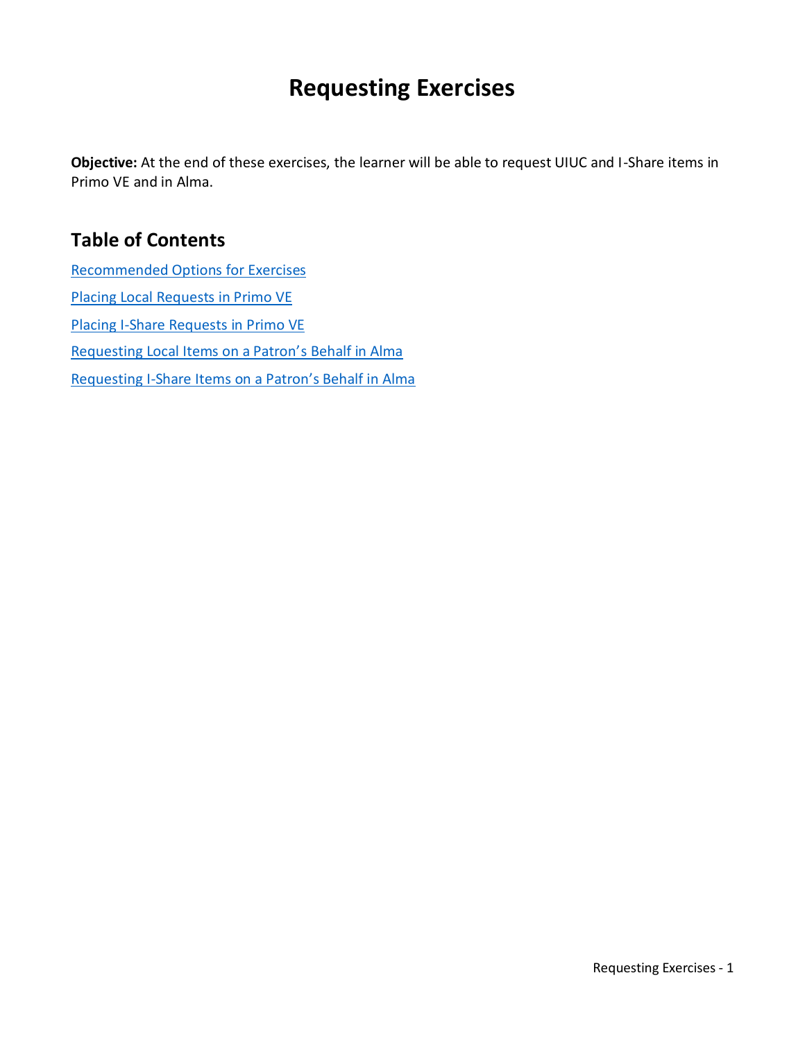# **Requesting Exercises**

**Objective:** At the end of these exercises, the learner will be able to request UIUC and I-Share items in Primo VE and in Alma.

### **Table of Contents**

[Recommended Options for Exercises](#page-1-0) [Placing Local Requests in Primo VE](#page-2-0) [Placing I-Share Requests in Primo VE](#page-3-0) [Requesting Local Items on a Patron'](#page-4-0)s Behalf in Alma Requesting I-[Share Items on a Patron's Behalf in Alma](#page-5-0)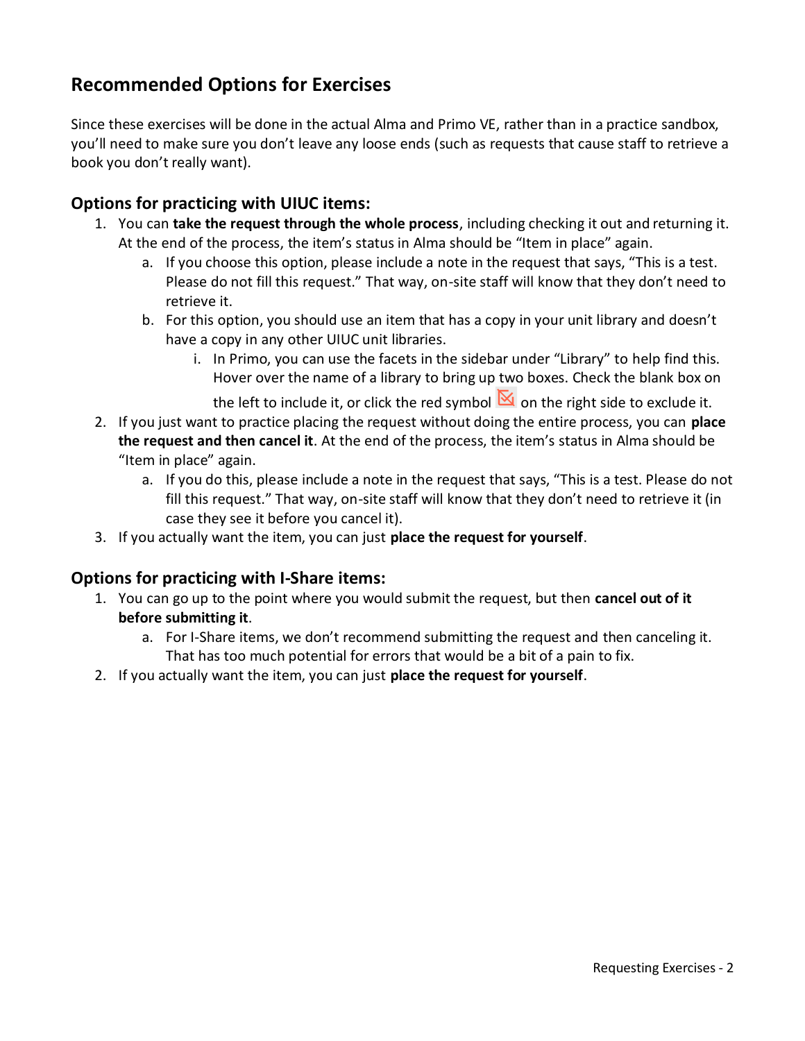### <span id="page-1-0"></span>**Recommended Options for Exercises**

Since these exercises will be done in the actual Alma and Primo VE, rather than in a practice sandbox, you'll need to make sure you don't leave any loose ends (such as requests that cause staff to retrieve a book you don't really want).

#### <span id="page-1-1"></span>**Options for practicing with UIUC items:**

- 1. You can **take the request through the whole process**, including checking it out and returning it. At the end of the process, the item's status in Alma should be "Item in place" again.
	- a. If you choose this option, please include a note in the request that says, "This is a test. Please do not fill this request." That way, on-site staff will know that they don't need to retrieve it.
	- b. For this option, you should use an item that has a copy in your unit library and doesn't have a copy in any other UIUC unit libraries.
		- i. In Primo, you can use the facets in the sidebar under "Library" to help find this. Hover over the name of a library to bring up two boxes. Check the blank box on

the left to include it, or click the red symbol  $\mathbb N$  on the right side to exclude it.

- 2. If you just want to practice placing the request without doing the entire process, you can **place the request and then cancel it**. At the end of the process, the item's status in Alma should be "Item in place" again.
	- a. If you do this, please include a note in the request that says, "This is a test. Please do not fill this request." That way, on-site staff will know that they don't need to retrieve it (in case they see it before you cancel it).
- 3. If you actually want the item, you can just **place the request for yourself**.

#### <span id="page-1-2"></span>**Options for practicing with I-Share items:**

- 1. You can go up to the point where you would submit the request, but then **cancel out of it before submitting it**.
	- a. For I-Share items, we don't recommend submitting the request and then canceling it. That has too much potential for errors that would be a bit of a pain to fix.
- 2. If you actually want the item, you can just **place the request for yourself**.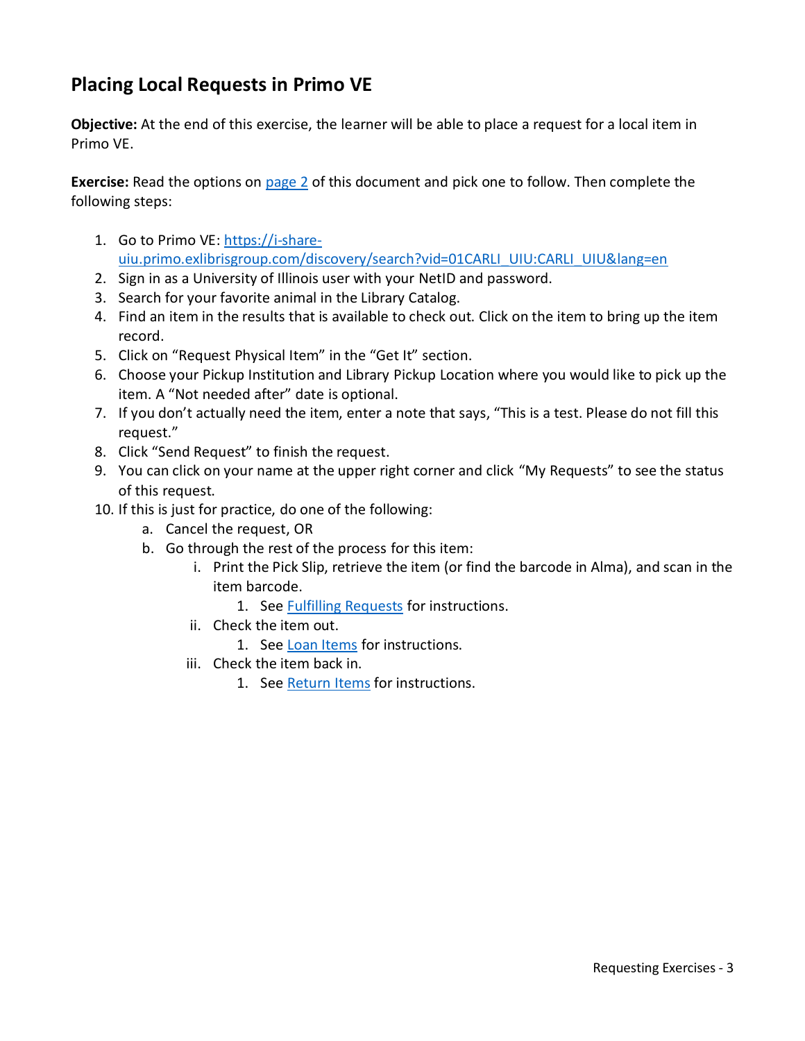### <span id="page-2-0"></span>**Placing Local Requests in Primo VE**

**Objective:** At the end of this exercise, the learner will be able to place a request for a local item in Primo VE.

**Exercise:** Read the options on [page](#page-1-1) 2 of this document and pick one to follow. Then complete the following steps:

- 1. Go to Primo VE: [https://i-share](https://i-share-uiu.primo.exlibrisgroup.com/discovery/search?vid=01CARLI_UIU:CARLI_UIU&lang=en)[uiu.primo.exlibrisgroup.com/discovery/search?vid=01CARLI\\_UIU:CARLI\\_UIU&lang=en](https://i-share-uiu.primo.exlibrisgroup.com/discovery/search?vid=01CARLI_UIU:CARLI_UIU&lang=en)
- 2. Sign in as a University of Illinois user with your NetID and password.
- 3. Search for your favorite animal in the Library Catalog.
- 4. Find an item in the results that is available to check out. Click on the item to bring up the item record.
- 5. Click on "Request Physical Item" in the "Get It" section.
- 6. Choose your Pickup Institution and Library Pickup Location where you would like to pick up the item. A "Not needed after" date is optional.
- 7. If you don't actually need the item, enter a note that says, "This is a test. Please do not fill this request."
- 8. Click "Send Request" to finish the request.
- 9. You can click on your name at the upper right corner and click "My Requests" to see the status of this request.
- 10. If this is just for practice, do one of the following:
	- a. Cancel the request, OR
	- b. Go through the rest of the process for this item:
		- i. Print the Pick Slip, retrieve the item (or find the barcode in Alma), and scan in the item barcode.
			- 1. See **Fulfilling Requests** for instructions.
		- ii. Check the item out.
			- 1. See [Loan Items](https://www.library.illinois.edu/staff/wp-content/uploads/sites/24/2020/04/Loan-Items.pdf) for instructions.
		- iii. Check the item back in.
			- 1. See [Return Items](https://www.library.illinois.edu/staff/wp-content/uploads/sites/24/2020/04/Return-Items.pdf) for instructions.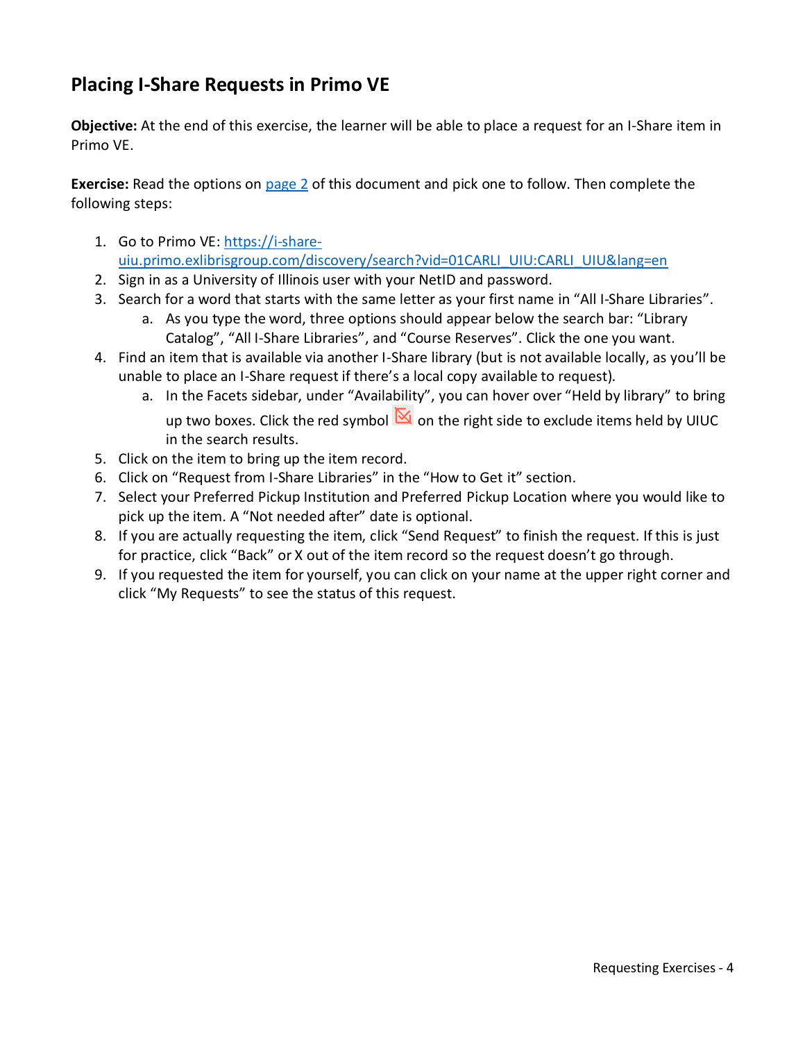# <span id="page-3-0"></span>**Placing I-Share Requests in Primo VE**

**Objective:** At the end of this exercise, the learner will be able to place a request for an I-Share item in Primo VE.

**Exercise:** Read the options on [page 2](#page-1-2) of this document and pick one to follow. Then complete the following steps:

- 1. Go to Primo VE: [https://i-share](https://i-share-uiu.primo.exlibrisgroup.com/discovery/search?vid=01CARLI_UIU:CARLI_UIU&lang=en)[uiu.primo.exlibrisgroup.com/discovery/search?vid=01CARLI\\_UIU:CARLI\\_UIU&lang=en](https://i-share-uiu.primo.exlibrisgroup.com/discovery/search?vid=01CARLI_UIU:CARLI_UIU&lang=en)
- 2. Sign in as a University of Illinois user with your NetID and password.
- 3. Search for a word that starts with the same letter as your first name in "All I-Share Libraries".
	- a. As you type the word, three options should appear below the search bar: "Library Catalog", "All I-Share Libraries", and "Course Reserves". Click the one you want.
- 4. Find an item that is available via another I-Share library (but is not available locally, as you'll be unable to place an I-Share request if there's a local copy available to request).
	- a. In the Facets sidebar, under "Availability", you can hover over "Held by library" to bring up two boxes. Click the red symbol  $\mathbb{N}$  on the right side to exclude items held by UIUC in the search results.
- 5. Click on the item to bring up the item record.
- 6. Click on "Request from I-Share Libraries" in the "How to Get it" section.
- 7. Select your Preferred Pickup Institution and Preferred Pickup Location where you would like to pick up the item. A "Not needed after" date is optional.
- 8. If you are actually requesting the item, click "Send Request" to finish the request. If this is just for practice, click "Back" or X out of the item record so the request doesn't go through.
- 9. If you requested the item for yourself, you can click on your name at the upper right corner and click "My Requests" to see the status of this request.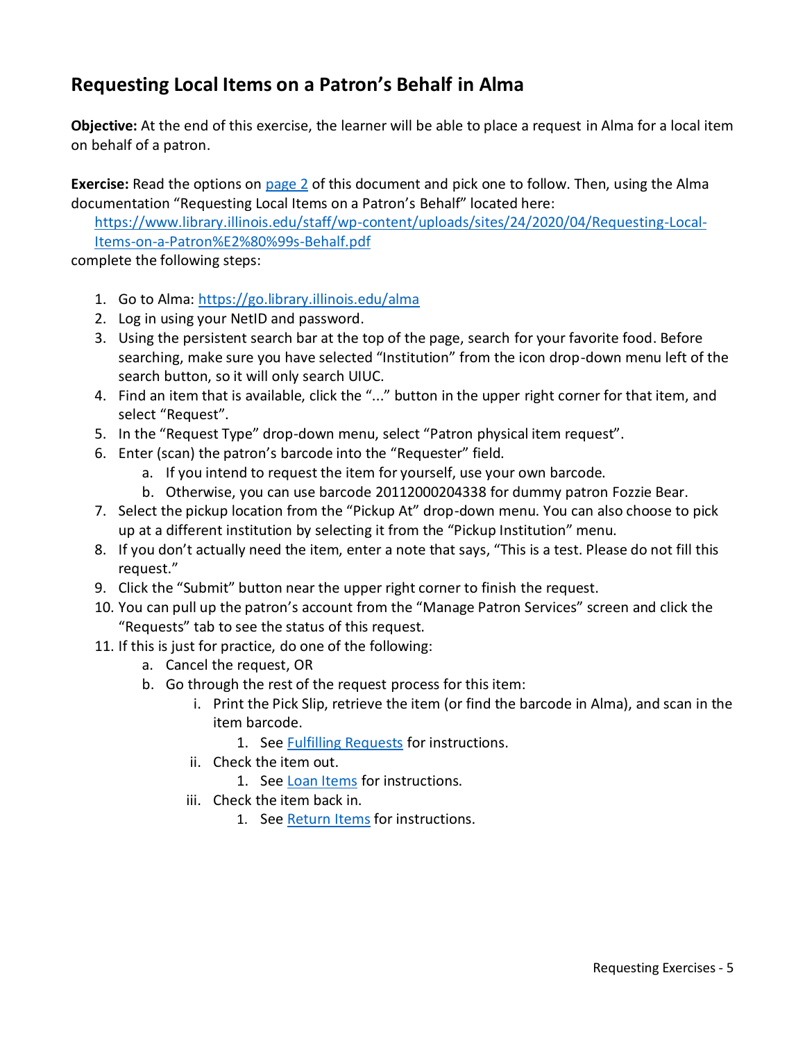# <span id="page-4-0"></span>**Requesting Local Items on a Patron's Behalf in Alma**

**Objective:** At the end of this exercise, the learner will be able to place a request in Alma for a local item on behalf of a patron.

**Exercise:** Read the options on [page](#page-1-1) 2 of this document and pick one to follow. Then, using the Alma documentation "Requesting Local Items on a Patron's Behalf" located here:

[https://www.library.illinois.edu/staff/wp-content/uploads/sites/24/2020/04/Requesting-Local-](https://www.library.illinois.edu/staff/wp-content/uploads/sites/24/2020/04/Requesting-Local-Items-on-a-Patron%E2%80%99s-Behalf.pdf)[Items-on-a-Patron%E2%80%99s-Behalf.pdf](https://www.library.illinois.edu/staff/wp-content/uploads/sites/24/2020/04/Requesting-Local-Items-on-a-Patron%E2%80%99s-Behalf.pdf)

complete the following steps:

- 1. Go to Alma: <https://go.library.illinois.edu/alma>
- 2. Log in using your NetID and password.
- 3. Using the persistent search bar at the top of the page, search for your favorite food. Before searching, make sure you have selected "Institution" from the icon drop-down menu left of the search button, so it will only search UIUC.
- 4. Find an item that is available, click the "..." button in the upper right corner for that item, and select "Request".
- 5. In the "Request Type" drop-down menu, select "Patron physical item request".
- 6. Enter (scan) the patron's barcode into the "Requester" field.
	- a. If you intend to request the item for yourself, use your own barcode.
	- b. Otherwise, you can use barcode 20112000204338 for dummy patron Fozzie Bear.
- 7. Select the pickup location from the "Pickup At" drop-down menu. You can also choose to pick up at a different institution by selecting it from the "Pickup Institution" menu.
- 8. If you don't actually need the item, enter a note that says, "This is a test. Please do not fill this request."
- 9. Click the "Submit" button near the upper right corner to finish the request.
- 10. You can pull up the patron's account from the "Manage Patron Services" screen and click the "Requests" tab to see the status of this request.
- 11. If this is just for practice, do one of the following:
	- a. Cancel the request, OR
	- b. Go through the rest of the request process for this item:
		- i. Print the Pick Slip, retrieve the item (or find the barcode in Alma), and scan in the item barcode.
			- 1. See **Fulfilling Requests** for instructions.
		- ii. Check the item out.
			- 1. See [Loan Items](https://www.library.illinois.edu/staff/wp-content/uploads/sites/24/2020/04/Loan-Items.pdf) for instructions.
		- iii. Check the item back in.
			- 1. See [Return Items](https://www.library.illinois.edu/staff/wp-content/uploads/sites/24/2020/04/Return-Items.pdf) for instructions.